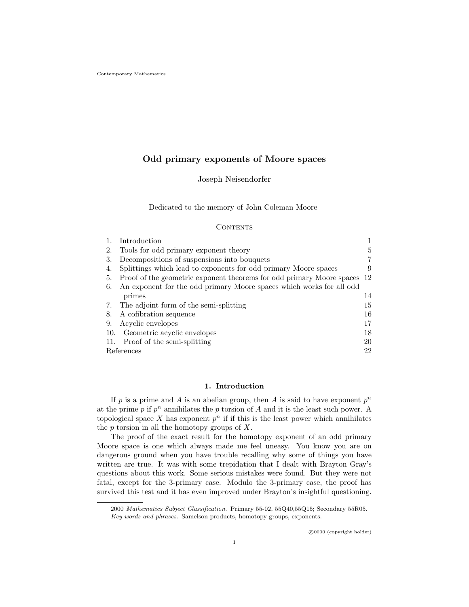# Odd primary exponents of Moore spaces

Joseph Neisendorfer

Dedicated to the memory of John Coleman Moore

# **CONTENTS**

|     | Introduction                                                             |    |
|-----|--------------------------------------------------------------------------|----|
| 2.  | Tools for odd primary exponent theory                                    | 5  |
| 3.  | Decompositions of suspensions into bouquets                              |    |
| 4.  | Splittings which lead to exponents for odd primary Moore spaces          | 9  |
| 5.  | Proof of the geometric exponent theorems for odd primary Moore spaces 12 |    |
| 6.  | An exponent for the odd primary Moore spaces which works for all odd     |    |
|     | primes                                                                   | 14 |
| 7.  | The adjoint form of the semi-splitting                                   | 15 |
| 8.  | A cofibration sequence                                                   | 16 |
| 9.  | Acyclic envelopes                                                        | 17 |
| 10. | Geometric acyclic envelopes                                              | 18 |
|     | 11. Proof of the semi-splitting                                          | 20 |
|     | References                                                               |    |

## 1. Introduction

If p is a prime and A is an abelian group, then A is said to have exponent  $p^n$ at the prime  $p$  if  $p^n$  annihilates the  $p$  torsion of  $A$  and it is the least such power. A topological space  $X$  has exponent  $p^n$  if if this is the least power which annihilates the  $p$  torsion in all the homotopy groups of  $X$ .

The proof of the exact result for the homotopy exponent of an odd primary Moore space is one which always made me feel uneasy. You know you are on dangerous ground when you have trouble recalling why some of things you have written are true. It was with some trepidation that I dealt with Brayton Gray's questions about this work. Some serious mistakes were found. But they were not fatal, except for the 3-primary case. Modulo the 3-primary case, the proof has survived this test and it has even improved under Brayton's insightful questioning.

<sup>2000</sup> Mathematics Subject Classification. Primary 55-02, 55Q40,55Q15; Secondary 55R05. Key words and phrases. Samelson products, homotopy groups, exponents.

c 0000 (copyright holder)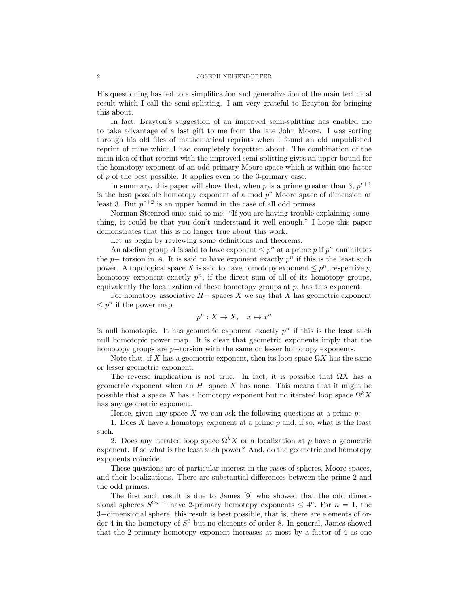### 2 JOSEPH NEISENDORFER

His questioning has led to a simplification and generalization of the main technical result which I call the semi-splitting. I am very grateful to Brayton for bringing this about.

In fact, Brayton's suggestion of an improved semi-splitting has enabled me to take advantage of a last gift to me from the late John Moore. I was sorting through his old files of mathematical reprints when I found an old unpublished reprint of mine which I had completely forgotten about. The combination of the main idea of that reprint with the improved semi-splitting gives an upper bound for the homotopy exponent of an odd primary Moore space which is within one factor of p of the best possible. It applies even to the 3-primary case.

In summary, this paper will show that, when p is a prime greater than 3,  $p^{r+1}$ is the best possible homotopy exponent of a mod  $p<sup>r</sup>$  Moore space of dimension at least 3. But  $p^{r+2}$  is an upper bound in the case of all odd primes.

Norman Steenrod once said to me: "If you are having trouble explaining something, it could be that you don't understand it well enough." I hope this paper demonstrates that this is no longer true about this work.

Let us begin by reviewing some definitions and theorems.

An abelian group A is said to have exponent  $\leq p^n$  at a prime p if  $p^n$  annihilates the  $p-$  torsion in A. It is said to have exponent exactly  $p<sup>n</sup>$  if this is the least such power. A topological space X is said to have homotopy exponent  $\leq p^n$ , respectively, homotopy exponent exactly  $p^n$ , if the direct sum of all of its homotopy groups, equivalently the localization of these homotopy groups at  $p$ , has this exponent.

For homotopy associative  $H-$  spaces X we say that X has geometric exponent  $\leq p^n$  if the power map

$$
p^n: X \to X, \quad x \mapsto x^n
$$

is null homotopic. It has geometric exponent exactly  $p<sup>n</sup>$  if this is the least such null homotopic power map. It is clear that geometric exponents imply that the homotopy groups are p−torsion with the same or lesser homotopy exponents.

Note that, if X has a geometric exponent, then its loop space  $\Omega X$  has the same or lesser geometric exponent.

The reverse implication is not true. In fact, it is possible that  $\Omega X$  has a geometric exponent when an  $H$ -space X has none. This means that it might be possible that a space X has a homotopy exponent but no iterated loop space  $\Omega^k X$ has any geometric exponent.

Hence, given any space  $X$  we can ask the following questions at a prime  $p$ .

1. Does X have a homotopy exponent at a prime  $p$  and, if so, what is the least such.

2. Does any iterated loop space  $\Omega^k X$  or a localization at p have a geometric exponent. If so what is the least such power? And, do the geometric and homotopy exponents coincide.

These questions are of particular interest in the cases of spheres, Moore spaces, and their localizations. There are substantial differences between the prime 2 and the odd primes.

The first such result is due to James [9] who showed that the odd dimensional spheres  $S^{2n+1}$  have 2-primary homotopy exponents  $\leq 4^n$ . For  $n = 1$ , the 3−dimensional sphere, this result is best possible, that is, there are elements of order 4 in the homotopy of  $S^3$  but no elements of order 8. In general, James showed that the 2-primary homotopy exponent increases at most by a factor of 4 as one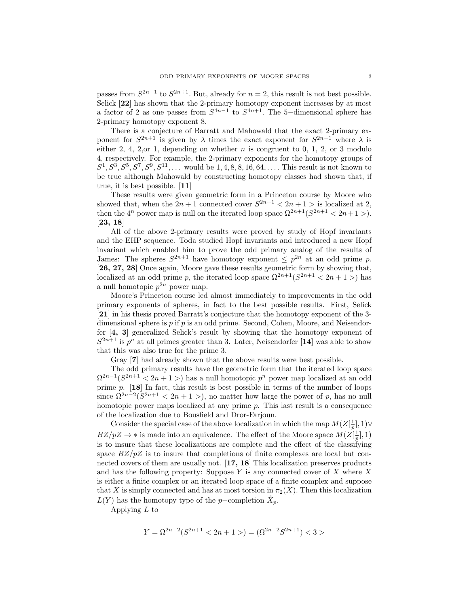passes from  $S^{2n-1}$  to  $S^{2n+1}$ . But, already for  $n = 2$ , this result is not best possible. Selick [22] has shown that the 2-primary homotopy exponent increases by at most a factor of 2 as one passes from  $S^{4n-1}$  to  $S^{4n+1}$ . The 5-dimensional sphere has 2-primary homotopy exponent 8.

There is a conjecture of Barratt and Mahowald that the exact 2-primary exponent for  $S^{2n+1}$  is given by  $\lambda$  times the exact exponent for  $S^{2n-1}$  where  $\lambda$  is either 2, 4, 2, or 1, depending on whether  $n$  is congruent to 0, 1, 2, or 3 modulo 4, respectively. For example, the 2-primary exponents for the homotopy groups of  $S^1, S^3, S^5, S^7, S^9, S^{11}, \ldots$  would be 1, 4, 8, 8, 16, 64,  $\ldots$ . This result is not known to be true although Mahowald by constructing homotopy classes had shown that, if true, it is best possible. [11]

These results were given geometric form in a Princeton course by Moore who showed that, when the  $2n + 1$  connected cover  $S^{2n+1} < 2n + 1$  is localized at 2, then the  $4^n$  power map is null on the iterated loop space  $\Omega^{2n+1}(S^{2n+1} < 2n+1)$ . [23, 18]

All of the above 2-primary results were proved by study of Hopf invariants and the EHP sequence. Toda studied Hopf invariants and introduced a new Hopf invariant which enabled him to prove the odd primary analog of the results of James: The spheres  $S^{2n+1}$  have homotopy exponent  $\leq p^{2n}$  at an odd prime p. [26, 27, 28] Once again, Moore gave these results geometric form by showing that, localized at an odd prime p, the iterated loop space  $\Omega^{2n+1}(S^{2n+1} < 2n + 1)$  has a null homotopic  $p^{2n}$  power map.

Moore's Princeton course led almost immediately to improvements in the odd primary exponents of spheres, in fact to the best possible results. First, Selick [21] in his thesis proved Barratt's conjecture that the homotopy exponent of the 3 dimensional sphere is  $p$  if  $p$  is an odd prime. Second, Cohen, Moore, and Neisendorfer [4, 3] generalized Selick's result by showing that the homotopy exponent of  $S^{2n+1}$  is  $p^n$  at all primes greater than 3. Later, Neisendorfer [14] was able to show that this was also true for the prime 3.

Gray [7] had already shown that the above results were best possible.

The odd primary results have the geometric form that the iterated loop space  $\Omega^{2n-1}(S^{2n+1} < 2n+1)$  has a null homotopic  $p^n$  power map localized at an odd prime p. [18] In fact, this result is best possible in terms of the number of loops since  $\Omega^{2n-2}(S^{2n+1} < 2n+1)$ , no matter how large the power of p, has no null homotopic power maps localized at any prime p. This last result is a consequence of the localization due to Bousfield and Dror-Farjoun.

Consider the special case of the above localization in which the map  $M(Z[\frac{1}{p}], 1) \vee$  $BZ/pZ \to *$  is made into an equivalence. The effect of the Moore space  $M(Z[\frac{1}{p}], 1)$ is to insure that these localizations are complete and the effect of the classifying space  $BZ/pZ$  is to insure that completions of finite complexes are local but connected covers of them are usually not. [17, 18] This localization preserves products and has the following property: Suppose  $Y$  is any connected cover of  $X$  where  $X$ is either a finite complex or an iterated loop space of a finite complex and suppose that X is simply connected and has at most torsion in  $\pi_2(X)$ . Then this localization  $L(Y)$  has the homotopy type of the p-completion  $\hat{X}_p$ .

Applying  $L$  to

$$
Y = \Omega^{2n-2}(S^{2n+1} < 2n+1) = (\Omega^{2n-2}S^{2n+1}) < 3 > 1
$$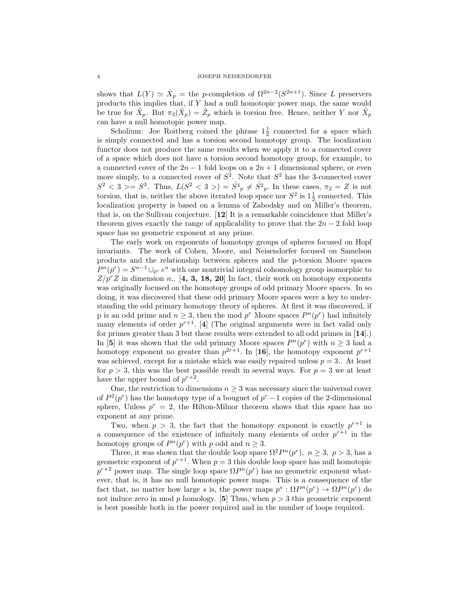shows that  $L(Y) \simeq \hat{X}_p =$  the p-completion of  $\Omega^{2n-2}(S^{2n+1})$ . Since L preservers products this implies that, if Y had a null homotopic power map, the same would be true for  $\hat{X}_p$ . But  $\pi_3(\hat{X}_p) = \hat{Z}_p$  which is torsion free. Hence, neither Y nor  $\hat{X}_p$ can have a null homotopic power map.

Scholium: Joe Roitberg coined the phrase  $1\frac{1}{2}$  connected for a space which is simply connected and has a torsion second homotopy group. The localization functor does not produce the same results when we apply it to a connected cover of a space which does not have a torsion second homotopy group, for example, to a connected cover of the  $2n-1$  fold loops on a  $2n+1$  dimensional sphere, or even more simply, to a connected cover of  $S^2$ . Note that  $S^2$  has the 3-connected cover  $S^2 < 3 > = S^3$ . Thus,  $L(S^2 < 3>) = \hat{S}^3 \cdot R^3 \cdot S^2 \cdot R^3$ . In these cases,  $\pi_2 = Z$  is not torsion, that is, neither the above iterated loop space nor  $S^2$  is  $1\frac{1}{2}$  connected. This localization property is based on a lemma of Zabodsky and on Miller's theorem, that is, on the Sullivan conjecture. [12] It is a remarkable coincidence that Miller's theorem gives exactly the range of applicability to prove that the  $2n-2$  fold loop space has no geometric exponent at any prime.

The early work on exponents of homotopy groups of spheres focused on Hopf invariants. The work of Cohen, Moore, and Neisendorfer focused on Samelson products and the relationship between spheres and the p-torsion Moore spaces  $P^{n}(p^{r}) = S^{n-1} \cup_{p^{r}} e^{n}$  with one nontrivial integral cohomology group isomorphic to  $Z/p^rZ$  in dimension n.. [4, 3, 18, 20] In fact, their work on homotopy exponents was originally focused on the homotopy groups of odd primary Moore spaces. In so doing, it was discovered that these odd primary Moore spaces were a key to understanding the odd primary homotopy theory of spheres. At first it was discovered, if p is an odd prime and  $n \geq 3$ , then the mod p<sup>r</sup> Moore spaces  $P^{n}(p^{r})$  had infinitely many elements of order  $p^{r+1}$ . [4] (The original arguments were in fact valid only for primes greater than 3 but these results were extended to all odd primes in [14].) In [5] it was shown that the odd primary Moore spaces  $P^{n}(p^{r})$  with  $n \geq 3$  had a homotopy exponent no greater than  $p^{2r+1}$ . In [16], the homotopy exponent  $p^{r+1}$ was achieved, except for a mistake which was easily repaired unless  $p = 3$ . At least for  $p > 3$ , this was the best possible result in several ways. For  $p = 3$  we at least have the upper bound of  $p^{r+2}$ .

One, the restriction to dimensions  $n \geq 3$  was necessary since the universal cover of  $P^2(p^r)$  has the homotopy type of a bouguet of  $p^r-1$  copies of the 2-dimensional sphere, Unless  $p^r = 2$ , the Hilton-Milnor theorem shows that this space has no exponent at any prime.

Two, when  $p > 3$ , the fact that the homotopy exponent is exactly  $p^{r+1}$  is a consequence of the existence of infinitely many elements of order  $p^{r+1}$  in the homotopy groups of  $P^{n}(p^{r})$  with p odd and  $n \geq 3$ .

Three, it was shown that the double loop space  $\Omega^2 P^n(p^r)$ ,  $n \geq 3$ ,  $p > 3$ , has a geometric exponent of  $p^{r+1}$ . When  $p = 3$  this double loop space has null homotopic  $p^{r+2}$  power map. The single loop space  $\Omega P^{n}(p^{r})$  has no geometric exponent whatever, that is, it has no null homotopic power maps. This is a consequence of the fact that, no matter how large s is, the power maps  $p^s : \Omega P^n(p^r) \to \Omega P^n(p^r)$  do not induce zero in mod  $p$  homology. [5] Thus, when  $p > 3$  this geometric exponent is best possible both in the power required and in the number of loops required.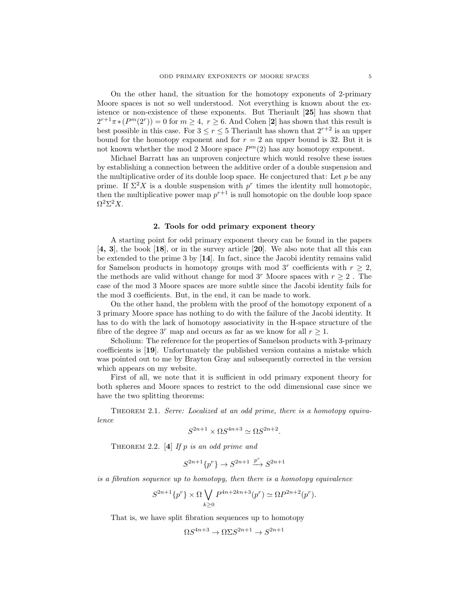On the other hand, the situation for the homotopy exponents of 2-primary Moore spaces is not so well understood. Not everything is known about the existence or non-existence of these exponents. But Theriault [25] has shown that  $2^{r+1}\pi * (P^m(2^r)) = 0$  for  $m \geq 4$ ,  $r \geq 6$ . And Cohen [2] has shown that this result is best possible in this case. For  $3 \le r \le 5$  Theriault has shown that  $2^{r+2}$  is an upper bound for the homotopy exponent and for  $r = 2$  an upper bound is 32. But it is not known whether the mod 2 Moore space  $P<sup>m</sup>(2)$  has any homotopy exponent.

Michael Barratt has an unproven conjecture which would resolve these issues by establishing a connection between the additive order of a double suspension and the multiplicative order of its double loop space. He conjectured that: Let  $p$  be any prime. If  $\Sigma^2 X$  is a double suspension with  $p^r$  times the identity null homotopic, then the multiplicative power map  $p^{r+1}$  is null homotopic on the double loop space  $Ω<sup>2</sup>Σ<sup>2</sup>X$ .

## 2. Tools for odd primary exponent theory

A starting point for odd primary exponent theory can be found in the papers [4, 3], the book [18], or in the survey article [20]. We also note that all this can be extended to the prime 3 by [14]. In fact, since the Jacobi identity remains valid for Samelson products in homotopy groups with mod 3<sup>r</sup> coefficients with  $r \geq 2$ , the methods are valid without change for mod 3<sup>r</sup> Moore spaces with  $r \geq 2$ . The case of the mod 3 Moore spaces are more subtle since the Jacobi identity fails for the mod 3 coefficients. But, in the end, it can be made to work.

On the other hand, the problem with the proof of the homotopy exponent of a 3 primary Moore space has nothing to do with the failure of the Jacobi identity. It has to do with the lack of homotopy associativity in the H-space structure of the fibre of the degree  $3^r$  map and occurs as far as we know for all  $r \geq 1$ .

Scholium: The reference for the properties of Samelson products with 3-primary coefficients is [19]. Unfortunately the published version contains a mistake which was pointed out to me by Brayton Gray and subsequently corrected in the version which appears on my website.

First of all, we note that it is sufficient in odd primary exponent theory for both spheres and Moore spaces to restrict to the odd dimensional case since we have the two splitting theorems:

Theorem 2.1. Serre: Localized at an odd prime, there is a homotopy equivalence

$$
S^{2n+1} \times \Omega S^{4n+3} \simeq \Omega S^{2n+2}.
$$

THEOREM 2.2.  $[4]$  If p is an odd prime and

$$
S^{2n+1}\{p^r\} \to S^{2n+1} \xrightarrow{p^r} S^{2n+1}
$$

is a fibration sequence up to homotopy, then there is a homotopy equivalence

$$
S^{2n+1}\{p^r\} \times \Omega \bigvee_{k \geq 0} P^{4n+2kn+3}(p^r) \simeq \Omega P^{2n+2}(p^r).
$$

That is, we have split fibration sequences up to homotopy

$$
\Omega S^{4n+3} \to \Omega \Sigma S^{2n+1} \to S^{2n+1}
$$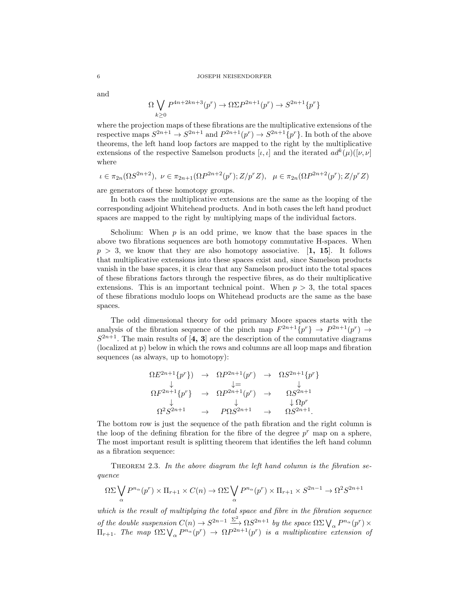and

$$
\Omega \bigvee_{k \geq 0} P^{4n+2kn+3}(p^r) \to \Omega \Sigma P^{2n+1}(p^r) \to S^{2n+1}\{p^r\}
$$

where the projection maps of these fibrations are the multiplicative extensions of the respective maps  $S^{2n+1} \to S^{2n+1}$  and  $P^{2n+1}(p^r) \to S^{2n+1}\{p^r\}$ . In both of the above theorems, the left hand loop factors are mapped to the right by the multiplicative extensions of the respective Samelson products [ $\iota, \iota$ ] and the iterated  $ad^k(\mu)([\nu, \nu])$ where

$$
\iota \in \pi_{2n}(\Omega S^{2n+2}), \ \nu \in \pi_{2n+1}(\Omega P^{2n+2}(p^r); Z/p^r Z), \ \mu \in \pi_{2n}(\Omega P^{2n+2}(p^r); Z/p^r Z)
$$

are generators of these homotopy groups.

In both cases the multiplicative extensions are the same as the looping of the corresponding adjoint Whitehead products. And in both cases the left hand product spaces are mapped to the right by multiplying maps of the individual factors.

Scholium: When  $p$  is an odd prime, we know that the base spaces in the above two fibrations sequences are both homotopy commutative H-spaces. When  $p > 3$ , we know that they are also homotopy associative. [1, 15]. It follows that multiplicative extensions into these spaces exist and, since Samelson products vanish in the base spaces, it is clear that any Samelson product into the total spaces of these fibrations factors through the respective fibres, as do their multiplicative extensions. This is an important technical point. When  $p > 3$ , the total spaces of these fibrations modulo loops on Whitehead products are the same as the base spaces.

The odd dimensional theory for odd primary Moore spaces starts with the analysis of the fibration sequence of the pinch map  $F^{2n+1}\{p^r\} \rightarrow P^{2n+1}(p^r) \rightarrow$  $S^{2n+1}$ . The main results of [4, 3] are the description of the commutative diagrams (localized at p) below in which the rows and columns are all loop maps and fibration sequences (as always, up to homotopy):

$$
\Omega E^{2n+1}\{p^r\} \rightarrow \Omega P^{2n+1}(p^r) \rightarrow \Omega S^{2n+1}\{p^r\} \n\downarrow \qquad \qquad \downarrow = \qquad \qquad \downarrow \n\Omega F^{2n+1}\{p^r\} \rightarrow \Omega P^{2n+1}(p^r) \rightarrow \Omega S^{2n+1} \n\downarrow \qquad \qquad \downarrow \Omega p^r \n\Omega^2 S^{2n+1} \rightarrow P \Omega S^{2n+1} \rightarrow \Omega S^{2n+1}.
$$

The bottom row is just the sequence of the path fibration and the right column is the loop of the defining fibration for the fibre of the degree  $p<sup>r</sup>$  map on a sphere, The most important result is splitting theorem that identifies the left hand column as a fibration sequence:

THEOREM 2.3. In the above diagram the left hand column is the fibration sequence

$$
\Omega \Sigma \bigvee_{\alpha} P^{n_{\alpha}}(p^r) \times \Pi_{r+1} \times C(n) \to \Omega \Sigma \bigvee_{\alpha} P^{n_{\alpha}}(p^r) \times \Pi_{r+1} \times S^{2n-1} \to \Omega^2 S^{2n+1}
$$

which is the result of multiplying the total space and fibre in the fibration sequence of the double suspension  $C(n) \to S^{2n-1} \xrightarrow{\Sigma^2} \Omega S^{2n+1}$  by the space  $\Omega \Sigma \bigvee_{\alpha} P^{n_{\alpha}}(p^r) \times$  $\Pi_{r+1}$ . The map  $\Omega \Sigma \bigvee_{\alpha} P^{n_{\alpha}}(p^r) \rightarrow \Omega P^{2n+1}(p^r)$  is a multiplicative extension of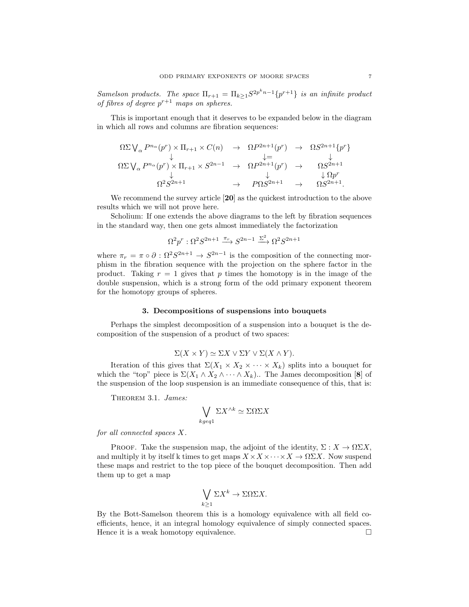Samelson products. The space  $\Pi_{r+1} = \Pi_{k \geq 1} S^{2p^k n-1} \{p^{r+1}\}\$  is an infinite product of fibres of degree  $p^{r+1}$  maps on spheres.

This is important enough that it deserves to be expanded below in the diagram in which all rows and columns are fibration sequences:

$$
\Omega \Sigma \bigvee_{\alpha} P^{n_{\alpha}}(p^{r}) \times \Pi_{r+1} \times C(n) \rightarrow \Omega P^{2n+1}(p^{r}) \rightarrow \Omega S^{2n+1}\{p^{r}\}\
$$
  
\n
$$
\Omega \Sigma \bigvee_{\alpha} P^{n_{\alpha}}(p^{r}) \times \Pi_{r+1} \times S^{2n-1} \rightarrow \Omega P^{2n+1}(p^{r}) \rightarrow \Omega S^{2n+1}\
$$
  
\n
$$
\downarrow \Omega P^{r}
$$
  
\n
$$
\Omega^{2} S^{2n+1} \rightarrow P \Omega S^{2n+1} \rightarrow \Omega S^{2n+1}.
$$

We recommend the survey article [20] as the quickest introduction to the above results which we will not prove here.

Scholium: If one extends the above diagrams to the left by fibration sequences in the standard way, then one gets almost immediately the factorization

$$
\Omega^2 p^r : \Omega^2 S^{2n+1} \xrightarrow{\pi_r} S^{2n-1} \xrightarrow{\Sigma^2} \Omega^2 S^{2n+1}
$$

where  $\pi_r = \pi \circ \partial : \Omega^2 S^{2n+1} \to S^{2n-1}$  is the composition of the connecting morphism in the fibration sequence with the projection on the sphere factor in the product. Taking  $r = 1$  gives that p times the homotopy is in the image of the double suspension, which is a strong form of the odd primary exponent theorem for the homotopy groups of spheres.

## 3. Decompositions of suspensions into bouquets

Perhaps the simplest decomposition of a suspension into a bouquet is the decomposition of the suspension of a product of two spaces:

$$
\Sigma(X \times Y) \simeq \Sigma X \vee \Sigma Y \vee \Sigma(X \wedge Y).
$$

Iteration of this gives that  $\Sigma(X_1 \times X_2 \times \cdots \times X_k)$  splits into a bouquet for which the "top" piece is  $\Sigma(X_1 \wedge X_2 \wedge \cdots \wedge X_k)$ .. The James decomposition [8] of the suspension of the loop suspension is an immediate consequence of this, that is:

THEOREM 3.1. *James:* 

$$
\bigvee_{kgeq1} \Sigma X^{\wedge k} \simeq \Sigma \Omega \Sigma X
$$

for all connected spaces X.

PROOF. Take the suspension map, the adjoint of the identity,  $\Sigma: X \to \Omega \Sigma X$ , and multiply it by itself k times to get maps  $X \times X \times \cdots \times X \to \Omega \Sigma X$ . Now suspend these maps and restrict to the top piece of the bouquet decomposition. Then add them up to get a map

$$
\bigvee_{k\geq 1} \Sigma X^k \to \Sigma \Omega \Sigma X.
$$

By the Bott-Samelson theorem this is a homology equivalence with all field coefficients, hence, it an integral homology equivalence of simply connected spaces. Hence it is a weak homotopy equivalence.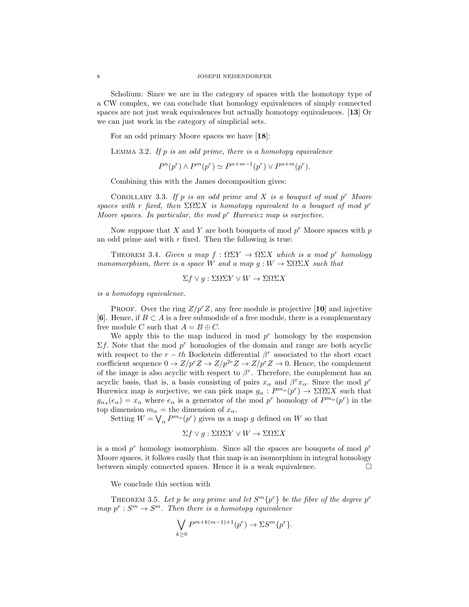Scholium: Since we are in the category of spaces with the homotopy type of a CW complex, we can conclude that homology equivalences of simply connected spaces are not just weak equivalences but actually homotopy equivalences. [13] Or we can just work in the category of simplicial sets.

For an odd primary Moore spaces we have [18]:

LEMMA 3.2. If  $p$  is an odd prime, there is a homotopy equivalence

 $P^{n}(p^{r}) \wedge P^{m}(p^{r}) \simeq P^{n+m-1}(p^{r}) \vee P^{n+m}(p^{r}).$ 

Combining this with the James decomposition gives:

COROLLARY 3.3. If p is an odd prime and X is a bouquet of mod  $p^r$  Moore spaces with r fixed, then  $\Sigma \Omega \Sigma X$  is homotopy equivalent to a bouquet of mod p<sup>r</sup> Moore spaces. In particular, the mod  $p^r$  Hurewicz map is surjective.

Now suppose that X and Y are both bouquets of mod  $p^r$  Moore spaces with p an odd prime and with  $r$  fixed. Then the following is true:

THEOREM 3.4. Given a map  $f : \Omega \Sigma Y \to \Omega \Sigma X$  which is a mod p<sup>r</sup> homology monomorphism, there is a space W and a map  $g: W \to \Sigma \Omega \Sigma X$  such that

$$
\Sigma f \vee g : \Sigma \Omega \Sigma Y \vee W \to \Sigma \Omega \Sigma X
$$

is a homotopy equivalence.

PROOF. Over the ring  $Z/p^rZ$ , any free module is projective [10] and injective [6]. Hence, if  $B \subset A$  is a free submodule of a free module, there is a complementary free module C such that  $A = B \oplus C$ .

We apply this to the map induced in mod  $p<sup>r</sup>$  homology by the suspension  $\Sigma f$ . Note that the mod  $p^r$  homologies of the domain and range are both acyclic with respect to the  $r - th$  Bockstein differential  $\beta^r$  associated to the short exact coefficient sequence  $0 \to Z/p^r Z \to Z/p^{2r} Z \to Z/p^r Z \to 0$ . Hence, the complement of the image is also acyclic with respect to  $\beta^r$ . Therefore, the complement has an acyclic basis, that is, a basis consisting of pairs  $x_{\alpha}$  and  $\beta^{r} x_{\alpha}$ . Since the mod  $p^{r}$ Hurewicz map is surjective, we can pick maps  $g_{\alpha}: P^{m_{\alpha}}(p^r) \to \Sigma \Omega \Sigma X$  such that  $g_{\alpha*}(e_\alpha) = x_\alpha$  where  $e_\alpha$  is a generator of the mod  $p^r$  homology of  $P^{m_\alpha}(p^r)$  in the top dimension  $m_{\alpha}$  = the dimension of  $x_{\alpha}$ .

Setting  $W = \bigvee_{\alpha} P^{m_{\alpha}}(p^r)$  gives us a map g defined on W so that

$$
\Sigma f \vee g : \Sigma \Omega \Sigma Y \vee W \to \Sigma \Omega \Sigma X
$$

is a mod  $p^r$  homology isomorphism. Since all the spaces are bouquets of mod  $p^r$ Moore spaces, it follows easily that this map is an isomorphism in integral homology between simply connected spaces. Hence it is a weak equivalence.

We conclude this section with

THEOREM 3.5. Let p be any prime and let  $S^{m} \{p^{r}\}\$ be the fibre of the degree  $p^{r}$ map  $p^r: S^m \to S^m$ . Then there is a homotopy equivalence

$$
\bigvee_{k\geq 0} P^{m+k(m-1)+1}(p^r) \to \Sigma S^m\{p^r\}.
$$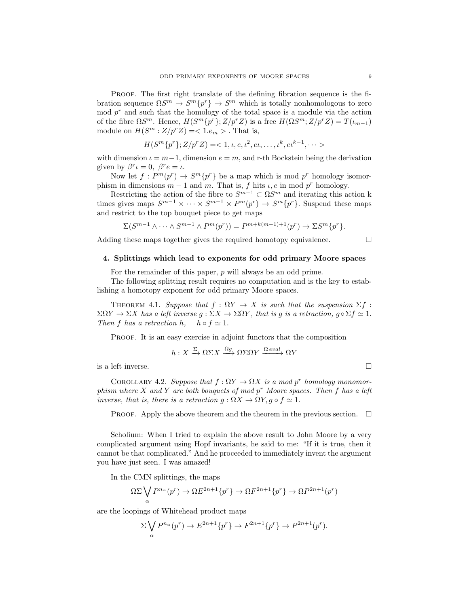PROOF. The first right translate of the defining fibration sequence is the fibration sequence  $\Omega S^m \to S^m \{p^r\} \to S^m$  which is totally nonhomologous to zero  $\mod p^r$  and such that the homology of the total space is a module via the action of the fibre  $\Omega S^m$ . Hence,  $H(S^m{p^r};Z/p^rZ)$  is a free  $H(\Omega S^m;Z/p^rZ) = T(\iota_{m-1})$ module on  $H(S^m : Z/p^r Z) = <1.e_m>$ . That is,

$$
H(S^{m}\{p^{r}\};Z/p^{r}Z)=<1,\iota,e,\iota^{2},\iota\iota,\ldots,\iota^{k},\iota\iota^{k-1},\cdots>
$$

with dimension  $\iota = m-1$ , dimension  $e = m$ , and r-th Bockstein being the derivation given by  $\beta^r \iota = 0$ ,  $\beta^r e = \iota$ .

Now let  $f: P^m(p^r) \to S^m\{p^r\}$  be a map which is mod  $p^r$  homology isomorphism in dimensions  $m-1$  and m. That is, f hits  $\iota, e$  in mod p<sup>r</sup> homology.

Restricting the action of the fibre to  $S^{m-1} \subset \Omega S^m$  and iterating this action k times gives maps  $S^{m-1} \times \cdots \times S^{m-1} \times P^m(p^r) \to S^m\{p^r\}$ . Suspend these maps and restrict to the top bouquet piece to get maps

$$
\Sigma(S^{m-1}\wedge\cdots\wedge S^{m-1}\wedge P^m(p^r))=P^{m+k(m-1)+1}(p^r)\to\Sigma S^m\{p^r\}.
$$

Adding these maps together gives the required homotopy equivalence.

$$
\sqcup
$$

# 4. Splittings which lead to exponents for odd primary Moore spaces

For the remainder of this paper, p will always be an odd prime.

The following splitting result requires no computation and is the key to establishing a homotopy exponent for odd primary Moore spaces.

THEOREM 4.1. Suppose that  $f : \Omega Y \to X$  is such that the suspension  $\Sigma f$ :  $\Sigma\Omega Y \to \Sigma X$  has a left inverse  $g : \Sigma X \to \Sigma \Omega Y$ , that is g is a retraction,  $g \circ \Sigma f \simeq 1$ . Then f has a retraction h,  $h \circ f \simeq 1$ .

PROOF. It is an easy exercise in adjoint functors that the composition

$$
h: X \xrightarrow{\Sigma} \Omega \Sigma X \xrightarrow{\Omega g} \Omega \Sigma \Omega Y \xrightarrow{\Omega eval} \Omega Y
$$

is a left inverse.  $\Box$ 

COROLLARY 4.2. Suppose that  $f: \Omega Y \to \Omega X$  is a mod p<sup>r</sup> homology monomorphism where X and Y are both bouquets of mod  $p^r$  Moore spaces. Then f has a left inverse, that is, there is a retraction  $g : \Omega X \to \Omega Y, g \circ f \simeq 1$ .

PROOF. Apply the above theorem and the theorem in the previous section.  $\Box$ 

Scholium: When I tried to explain the above result to John Moore by a very complicated argument using Hopf invariants, he said to me: "If it is true, then it cannot be that complicated." And he proceeded to immediately invent the argument you have just seen. I was amazed!

In the CMN splittings, the maps

$$
\Omega \Sigma \bigvee_{\alpha} P^{n_{\alpha}}(p^r) \to \Omega E^{2n+1}\{p^r\} \to \Omega F^{2n+1}\{p^r\} \to \Omega P^{2n+1}(p^r)
$$

are the loopings of Whitehead product maps

$$
\sum_{\alpha} \bigvee_{\alpha} P^{n_{\alpha}}(p^r) \to E^{2n+1}\{p^r\} \to F^{2n+1}\{p^r\} \to P^{2n+1}(p^r).
$$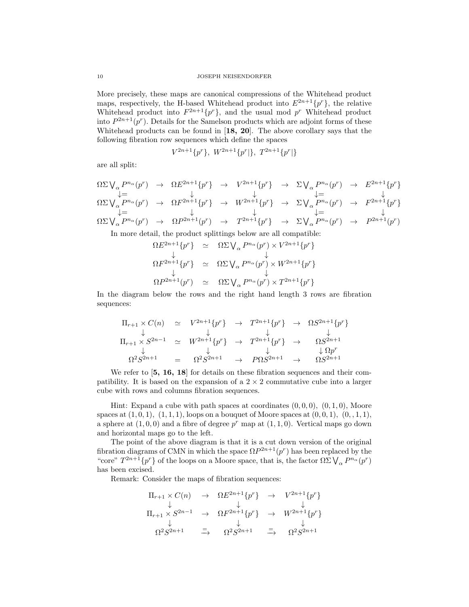More precisely, these maps are canonical compressions of the Whitehead product maps, respectively, the H-based Whitehead product into  $E^{2n+1}{p^r}$ , the relative Whitehead product into  $F^{2n+1}\lbrace p^r \rbrace$ , and the usual mod  $p^r$  Whitehead product into  $P^{2n+1}(p^r)$ . Details for the Samelson products which are adjoint forms of these Whitehead products can be found in [18, 20]. The above corollary says that the following fibration row sequences which define the spaces

$$
V^{2n+1}\{p^r\}, W^{2n+1}\{p^r\}, T^{2n+1}\{p^r\}\
$$

are all split:

$$
\Omega \Sigma \bigvee_{\alpha} P^{n_{\alpha}}(p^{r}) \rightarrow \Omega E^{2n+1}\{p^{r}\} \rightarrow V^{2n+1}\{p^{r}\} \rightarrow \Sigma \bigvee_{\alpha} P^{n_{\alpha}}(p^{r}) \rightarrow E^{2n+1}\{p^{r}\} \downarrow = \downarrow
$$
\n
$$
\Omega \Sigma \bigvee_{\alpha} P^{n_{\alpha}}(p^{r}) \rightarrow \Omega F^{2n+1}\{p^{r}\} \rightarrow W^{2n+1}\{p^{r}\} \rightarrow \Sigma \bigvee_{\alpha} P^{n_{\alpha}}(p^{r}) \rightarrow F^{2n+1}\{p^{r}\} \downarrow = \downarrow
$$
\n
$$
\Omega \Sigma \bigvee_{\alpha} P^{n_{\alpha}}(p^{r}) \rightarrow \Omega P^{2n+1}(p^{r}) \rightarrow T^{2n+1}\{p^{r}\} \rightarrow \Sigma \bigvee_{\alpha} P^{n_{\alpha}}(p^{r}) \rightarrow P^{2n+1}(p^{r})
$$

In more detail, the product splittings below are all compatible:

$$
\Omega E^{2n+1}\{p^r\} \simeq \Omega \Sigma \bigvee_{\alpha} P^{n_{\alpha}}(p^r) \times V^{2n+1}\{p^r\} \n\downarrow \qquad \qquad \downarrow \n\Omega F^{2n+1}\{p^r\} \simeq \Omega \Sigma \bigvee_{\alpha} P^{n_{\alpha}}(p^r) \times W^{2n+1}\{p^r\} \n\Omega P^{2n+1}(p^r) \simeq \Omega \Sigma \bigvee_{\alpha} P^{n_{\alpha}}(p^r) \times T^{2n+1}\{p^r\}
$$

In the diagram below the rows and the right hand length 3 rows are fibration sequences:

$$
\Pi_{r+1} \times C(n) \simeq V^{2n+1}\{p^r\} \rightarrow T^{2n+1}\{p^r\} \rightarrow \Omega S^{2n+1}\{p^r\}
$$
\n
$$
\downarrow \qquad \qquad \downarrow \qquad \qquad \downarrow
$$
\n
$$
\Pi_{r+1} \times S^{2n-1} \simeq W^{2n+1}\{p^r\} \rightarrow T^{2n+1}\{p^r\} \rightarrow \Omega S^{2n+1}
$$
\n
$$
\downarrow \qquad \qquad \downarrow
$$
\n
$$
\Omega^2 S^{2n+1} = \Omega^2 S^{2n+1} \rightarrow P \Omega S^{2n+1} \rightarrow \Omega S^{2n+1}
$$

We refer to  $\left[5, 16, 18\right]$  for details on these fibration sequences and their compatibility. It is based on the expansion of a  $2 \times 2$  commutative cube into a larger cube with rows and columns fibration sequences.

Hint: Expand a cube with path spaces at coordinates  $(0, 0, 0)$ ,  $(0, 1, 0)$ , Moore spaces at  $(1, 0, 1), (1, 1, 1),$  loops on a bouquet of Moore spaces at  $(0, 0, 1), (0, 1, 1),$ a sphere at  $(1,0,0)$  and a fibre of degree  $p^r$  map at  $(1,1,0)$ . Vertical maps go down and horizontal maps go to the left.

The point of the above diagram is that it is a cut down version of the original fibration diagrams of CMN in which the space  $\Omega P^{2n+1}(p^r)$  has been replaced by the "core"  $T^{2n+1}\{p^r\}$  of the loops on a Moore space, that is, the factor  $\Omega \Sigma \bigvee_\alpha P^{n_\alpha}(p^r)$ has been excised.

Remark: Consider the maps of fibration sequences:

$$
\Pi_{r+1} \times C(n) \rightarrow \Omega E^{2n+1} \{p^r\} \rightarrow V^{2n+1} \{p^r\}
$$
\n
$$
\downarrow \qquad \qquad \downarrow \qquad \qquad \downarrow
$$
\n
$$
\Pi_{r+1} \times S^{2n-1} \rightarrow \Omega F^{2n+1} \{p^r\} \rightarrow W^{2n+1} \{p^r\}
$$
\n
$$
\downarrow \qquad \qquad \downarrow
$$
\n
$$
\Omega^2 S^{2n+1} \equiv \Omega^2 S^{2n+1} \equiv \Omega^2 S^{2n+1}
$$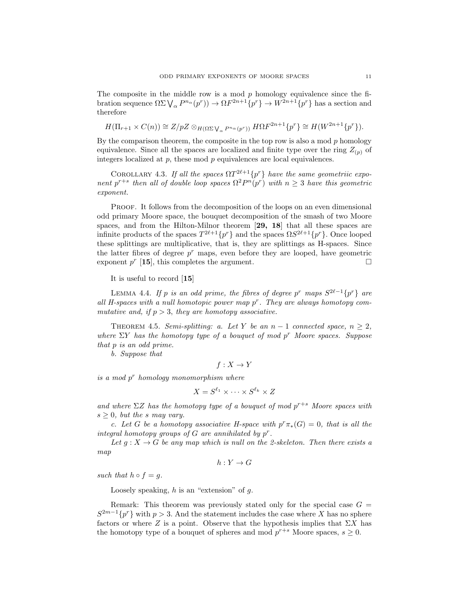The composite in the middle row is a mod  $p$  homology equivalence since the fibration sequence  $\Omega \Sigma \bigvee_{\alpha} P^{n_{\alpha}}(p^r) \big) \to \Omega F^{2n+1}\{p^r\} \to W^{2n+1}\{p^r\}$  has a section and therefore

$$
H(\Pi_{r+1} \times C(n)) \cong Z/pZ \otimes_{H(\Omega \Sigma \bigvee_{\alpha} P^{n_{\alpha}}(p^r))} H\Omega F^{2n+1}\{p^r\} \cong H(W^{2n+1}\{p^r\}).
$$

By the comparison theorem, the composite in the top row is also a mod  $p$  homology equivalence. Since all the spaces are localized and finite type over the ring  $Z_{(p)}$  of integers localized at  $p$ , these mod  $p$  equivalences are local equivalences.

COROLLARY 4.3. If all the spaces  $\Omega T^{2\ell+1}\{p^r\}$  have the same geometriic exponent p<sup>r+s</sup> then all of double loop spaces  $\Omega^2 P^{n}(p^r)$  with  $n \geq 3$  have this geometric exponent.

Proof. It follows from the decomposition of the loops on an even dimensional odd primary Moore space, the bouquet decomposition of the smash of two Moore spaces, and from the Hilton-Milnor theorem [29, 18] that all these spaces are infinite products of the spaces  $T^{2\ell+1}\{p^r\}$  and the spaces  $\Omega S^{2\ell+1}\{p^r\}$ . Once looped these splittings are multiplicative, that is, they are splittings as H-spaces. Since the latter fibres of degree  $p<sup>r</sup>$  maps, even before they are looped, have geometric exponent  $p^r$  [15], this completes the argument.

It is useful to record [15]

LEMMA 4.4. If p is an odd prime, the fibres of degree p<sup>r</sup> maps  $S^{2\ell-1}{p^r}$  are all H-spaces with a null homotopic power map  $p^r$ . They are always homotopy commutative and, if  $p > 3$ , they are homotopy associative.

THEOREM 4.5. Semi-splitting: a. Let Y be an  $n-1$  connected space,  $n \geq 2$ , where  $\Sigma Y$  has the homotopy type of a bouquet of mod p<sup>r</sup> Moore spaces. Suppose that p is an odd prime.

b. Suppose that

 $f: X \to Y$ 

 $is a mod p<sup>r</sup> homology monomorphism where$ 

$$
X = S^{\ell_1} \times \cdots \times S^{\ell_k} \times Z
$$

and where  $\Sigma Z$  has the homotopy type of a bouquet of mod  $p^{r+s}$  Moore spaces with  $s \geq 0$ , but the s may vary.

c. Let G be a homotopy associative H-space with  $p^r \pi_*(G) = 0$ , that is all the integral homotopy groups of  $G$  are annihilated by  $p^r$ .

Let  $g: X \to G$  be any map which is null on the 2-skeleton. Then there exists a map

 $h: Y \to G$ 

such that  $h \circ f = q$ .

Loosely speaking,  $h$  is an "extension" of  $q$ .

Remark: This theorem was previously stated only for the special case  $G =$  $S^{2m-1}{p^r}$  with  $p > 3$ . And the statement includes the case where X has no sphere factors or where Z is a point. Observe that the hypothesis implies that  $\Sigma X$  has the homotopy type of a bouquet of spheres and mod  $p^{r+s}$  Moore spaces,  $s \geq 0$ .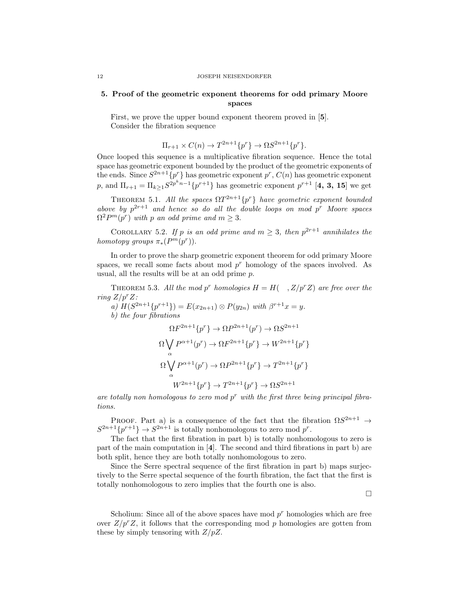# 5. Proof of the geometric exponent theorems for odd primary Moore spaces

First, we prove the upper bound exponent theorem proved in [5]. Consider the fibration sequence

$$
\Pi_{r+1} \times C(n) \to T^{2n+1}\{p^r\} \to \Omega S^{2n+1}\{p^r\}.
$$

Once looped this sequence is a multiplicative fibration sequence. Hence the total space has geometric exponent bounded by the product of the geometric exponents of the ends. Since  $S^{2n+1}{p^r}$  has geometric exponent  $p^r$ ,  $C(n)$  has geometric exponent p, and  $\Pi_{r+1} = \Pi_{k \geq 1} S^{2p^k n-1} \{p^{r+1}\}\$  has geometric exponent  $p^{r+1}$  [4, 3, 15] we get

THEOREM 5.1. All the spaces  $\Omega T^{2n+1}\{p^r\}$  have geometric exponent bounded above by  $p^{2r+1}$  and hence so do all the double loops on mod  $p^r$  Moore spaces  $\Omega^2 P^m(p^r)$  with p an odd prime and  $m \geq 3$ .

COROLLARY 5.2. If p is an odd prime and  $m \geq 3$ , then  $p^{2r+1}$  annihilates the homotopy groups  $\pi_*(P^m(p^r))$ .

In order to prove the sharp geometric exponent theorem for odd primary Moore spaces, we recall some facts about mod  $p<sup>r</sup>$  homology of the spaces involved. As usual, all the results will be at an odd prime p.

THEOREM 5.3. All the mod p<sup>r</sup> homologies  $H = H($ ,  $Z/p^rZ)$  are free over the ring  $Z/p^rZ$ :

a)  $H(S^{2n+1}{p^{r+1}}) = E(x_{2n+1}) \otimes P(y_{2n})$  with  $\beta^{r+1}x = y$ . b) the four fibrations  $\Omega F^{2n+1}\{p^r\} \to \Omega P^{2n+1}(p^r) \to \Omega S^{2n+1}$  $\Omega \bigvee$ α  $P^{\alpha+1}(p^r) \to \Omega F^{2n+1}\{p^r\} \to W^{2n+1}\{p^r\}$  $\Omega \bigvee$ α  $P^{\alpha+1}(p^r) \to \Omega P^{2n+1}\{p^r\} \to T^{2n+1}\{p^r\}$  $W^{2n+1}\{p^r\} \to T^{2n+1}\{p^r\} \to \Omega S^{2n+1}$ 

are totally non homologous to zero mod  $p<sup>r</sup>$  with the first three being principal fibrations.

PROOF. Part a) is a consequence of the fact that the fibration  $\Omega S^{2n+1} \rightarrow$  $S^{2n+1}\{p^{r+1}\}\to S^{2n+1}$  is totally nonhomologous to zero mod  $p^r$ .

The fact that the first fibration in part b) is totally nonhomologous to zero is part of the main computation in [4]. The second and third fibrations in part b) are both split, hence they are both totally nonhomologous to zero.

Since the Serre spectral sequence of the first fibration in part b) maps surjectively to the Serre spectal sequence of the fourth fibration, the fact that the first is totally nonhomologous to zero implies that the fourth one is also.

 $\Box$ 

Scholium: Since all of the above spaces have mod  $p<sup>r</sup>$  homologies which are free over  $Z/p^rZ$ , it follows that the corresponding mod p homologies are gotten from these by simply tensoring with  $Z/pZ$ .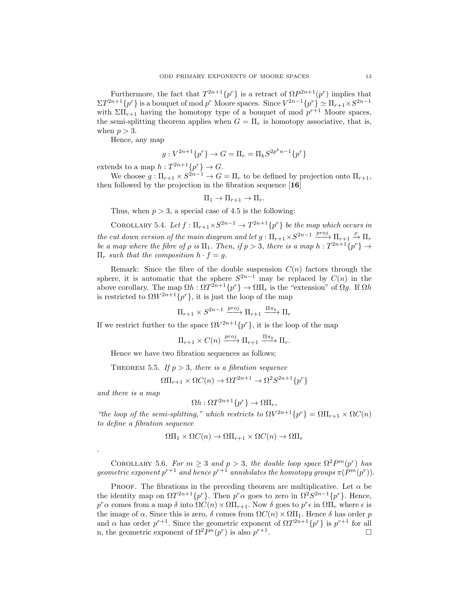Furthermore, the fact that  $T^{2n+1}{p^r}$  is a retract of  $\Omega P^{2n+1}(p^r)$  implies that  $\Sigma T^{2n+1}{p^r}$  is a bouquet of mod  $p^r$  Moore spaces. Since  $V^{2n-1}{p^r} \simeq \Pi_{r+1} \times S^{2n-1}$ with  $\Sigma\Pi_{r+1}$  having the homotopy type of a bouquet of mod  $p^{r+1}$  Moore spaces, the semi-splitting theorem applies when  $G = \Pi_r$  is homotopy associative, that is, when  $p > 3$ .

Hence, any map

$$
g: V^{2n+1}\{p^r\} \to G = \Pi_r = \Pi_k S^{2p^kn-1}\{p^r\}
$$

extends to a map  $h: T^{2n+1}{p^r} \to G$ .

We choose  $g: \Pi_{r+1} \times S^{2n-1} \to G = \Pi_r$  to be defined by projection onto  $\Pi_{r+1}$ , then followed by the projection in the fibration sequence [16]

$$
\Pi_1 \to \Pi_{r+1} \to \Pi_r.
$$

Thus, when  $p > 3$ , a special case of 4.5 is the following:

COROLLARY 5.4. Let  $f: \Pi_{r+1} \times S^{2n-1} \to T^{2n+1}{p^r}$  be the map which occurs in the cut down version of the main diagram and let  $g: \Pi_{r+1} \times S^{2n-1} \xrightarrow{proj} \Pi_{r+1} \xrightarrow{\rho} \Pi_r$ be a map where the fibre of  $\rho$  is  $\Pi_1$ . Then, if  $p > 3$ , there is a map  $h : T^{2n+1}{p^r} \to$  $\Pi_r$  such that the composition  $h \cdot f = q$ .

Remark: Since the fibre of the double suspension  $C(n)$  factors through the sphere, it is automatic that the sphere  $S^{2n-1}$  may be replaced by  $C(n)$  in the above corollary. The map  $\Omega h : \Omega T^{2n+1}\{p^r\} \to \Omega \Pi_r$  is the "extension" of  $\Omega g$ . If  $\Omega h$ is restricted to  $\Omega W^{2n+1}\{p^r\}$ , it is just the loop of the map

$$
\Pi_{r+1} \times S^{2n-1} \xrightarrow{proj} \Pi_{r+1} \xrightarrow{\Pi_{r}} \Pi_r
$$

If we restrict further to the space  $\Omega V^{2n+1}{p^r}$ , it is the loop of the map

$$
\Pi_{r+1} \times C(n) \xrightarrow{proj} \Pi_{r+1} \xrightarrow{\Pi \pi_k} \Pi_r.
$$

Hence we have two fibration sequences as follows;

THEOREM 5.5. If  $p > 3$ , there is a fibration sequence

 $\Omega\Pi_{r+1} \times \Omega C(n) \to \Omega T^{2n+1} \to \Omega^2 S^{2n+1} \{p^r\}$ 

and there is a map

.

$$
\Omega h: \Omega T^{2n+1}\{p^r\} \to \Omega \Pi_r,
$$

"the loop of the semi-splitting," which restricts to  $\Omega V^{2n+1}{p^r} = \Omega \Pi_{r+1} \times \Omega C(n)$ to define a fibration sequence

$$
\Omega\Pi_1 \times \Omega C(n) \to \Omega\Pi_{r+1} \times \Omega C(n) \to \Omega\Pi_r
$$

COROLLARY 5.6. For  $m \geq 3$  and  $p > 3$ , the double loop space  $\Omega^2 P^m(p^r)$  has geometric exponent  $p^{r+1}$  and hence  $p^{r+1}$  annihilates the homotopy groups  $\pi(P^m(p^r))$ .

PROOF. The fibrations in the preceding theorem are multiplicative. Let  $\alpha$  be the identity map on  $\Omega T^{2n+1}\{p^r\}$ . Then  $p^r\alpha$  goes to zero in  $\Omega^2 S^{2n-1}\{p^r\}$ . Hence,  $p^r \alpha$  comes from a map  $\delta$  into  $\Omega C(n) \times \Omega \Pi_{r+1}$ . Now  $\delta$  goes to  $p^r \epsilon$  in  $\Omega \Pi_r$  where  $\epsilon$  is the image of  $\alpha$ . Since this is zero,  $\delta$  comes from  $\Omega C(n) \times \Omega \Pi_1$ . Hence  $\delta$  has order p and  $\alpha$  has order  $p^{r+1}$ . Since the geometric exponent of  $\Omega T^{2n+1}{p^r}$  is  $p^{r+1}$  for all n, the geometric exponent of  $\Omega^2 P^n(p^r)$  is also  $p^{r+1}$ .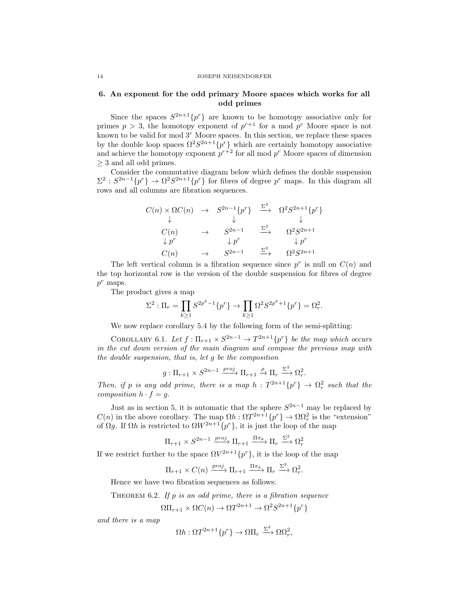#### 14 JOSEPH NEISENDORFER

# 6. An exponent for the odd primary Moore spaces which works for all odd primes

Since the spaces  $S^{2n+1}\{p^r\}$  are known to be homotopy associative only for primes  $p > 3$ , the homotopy exponent of  $p^{r+1}$  for a mod  $p^r$  Moore space is not known to be valid for mod  $3<sup>r</sup>$  Moore spaces. In this section, we replace these spaces by the double loop spaces  $\Omega^2 S^{2n+1} \{p^r\}$  which are certainly homotopy associative and achieve the homotopy exponent  $p^{r+2}$  for all mod  $p^r$  Moore spaces of dimension  $\geq$  3 and all odd primes.

Consider the commutative diagram below which defines the double suspension  $\Sigma^2$ :  $S^{2n-1}{p^r} \to \Omega^2 S^{2n+1}{p^r}$  for fibres of degree p<sup>r</sup> maps. In this diagram all rows and all columns are fibration sequences.

$$
C(n) \times \Omega C(n) \rightarrow S^{2n-1}\lbrace p^r \rbrace \xrightarrow{\Sigma^2} \Omega^2 S^{2n+1}\lbrace p^r \rbrace
$$
  
\n
$$
\downarrow \qquad \qquad \downarrow \qquad \qquad \downarrow
$$
  
\n
$$
C(n) \rightarrow S^{2n-1} \xrightarrow{\Sigma^2} \Omega^2 S^{2n+1}
$$
  
\n
$$
\downarrow p^r \qquad \qquad \downarrow p^r \qquad \qquad \downarrow p^r
$$
  
\n
$$
C(n) \rightarrow S^{2n-1} \xrightarrow{\Sigma^2} \Omega^2 S^{2n+1}
$$

The left vertical column is a fibration sequence since  $p^r$  is null on  $C(n)$  and the top horizontal row is the version of the double suspension for fibres of degree  $p^r$  maps.

The product gives a map

$$
\Sigma^2: \Pi_r = \prod_{k \ge 1} S^{2p^k - 1} \{p^r\} \to \prod_{k \ge 1} \Omega^2 S^{2p^k + 1} \{p^r\} = \Omega_r^2.
$$

We now replace corollary 5.4 by the following form of the semi-splitting:

COROLLARY 6.1. Let  $f: \Pi_{r+1} \times S^{2n-1} \to T^{2n+1}{p^r}$  be the map which occurs in the cut down version of the main diagram and compose the previous map with the double suspension, that is, let g be the composition

$$
g: \Pi_{r+1} \times S^{2n-1} \xrightarrow{proj} \Pi_{r+1} \xrightarrow{\rho} \Pi_r \xrightarrow{\Sigma^2} \Omega_r^2.
$$

Then, if p is any odd prime, there is a map  $h: T^{2n+1}{p^r} \to \Omega_r^2$  such that the composition  $h \cdot f = q$ .

Just as in section 5, it is automatic that the sphere  $S^{2n-1}$  may be replaced by  $C(n)$  in the above corollary. The map  $\Omega h : \Omega T^{2n+1}{p \choose p} \to \Omega \Omega_r^2$  is the "extension" of  $\Omega g$ . If  $\Omega h$  is restricted to  $\Omega W^{2n+1} \{p^r\}$ , it is just the loop of the map

$$
\Pi_{r+1} \times S^{2n-1} \xrightarrow{proj} \Pi_{r+1} \xrightarrow{\Pi \pi_k} \Pi_r \xrightarrow{\Sigma^2} \Omega_r^2
$$

If we restrict further to the space  $\Omega V^{2n+1}{p^r}$ , it is the loop of the map

$$
\Pi_{r+1} \times C(n) \xrightarrow{proj} \Pi_{r+1} \xrightarrow{\Pi \pi_k} \Pi_r \xrightarrow{\Sigma^2} \Omega_r^2.
$$

Hence we have two fibration sequences as follows:

THEOREM 6.2. If  $p$  is an odd prime, there is a fibration sequence

$$
\Omega\Pi_{r+1} \times \Omega C(n) \to \Omega T^{2n+1} \to \Omega^2 S^{2n+1} \{p^r\}
$$

and there is a map

$$
\Omega h: \Omega T^{2n+1}\{p^r\} \to \Omega \Pi_r \xrightarrow{\Sigma^2} \Omega \Omega_r^2,
$$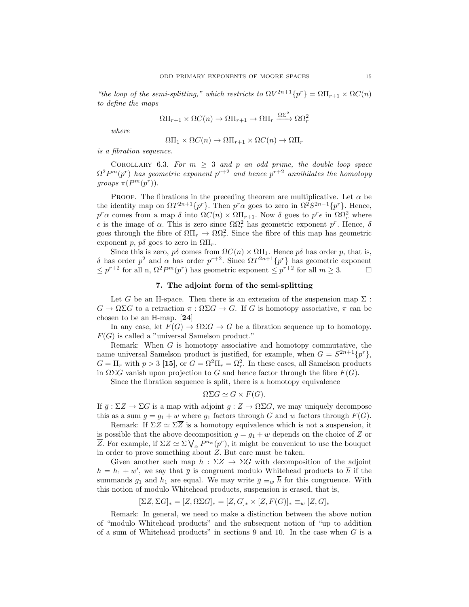"the loop of the semi-splitting," which restricts to  $\Omega V^{2n+1}{p^r} = \Omega \Pi_{r+1} \times \Omega C(n)$ to define the maps

$$
\Omega\Pi_{r+1}\times \Omega C(n)\to \Omega\Pi_{r+1}\to \Omega\Pi_{r} \xrightarrow{\Omega\Sigma^2} \Omega\Omega_r^2
$$

where

$$
\Omega\Pi_1 \times \Omega C(n) \to \Omega\Pi_{r+1} \times \Omega C(n) \to \Omega\Pi_r
$$

is a fibration sequence.

COROLLARY 6.3. For  $m \geq 3$  and p an odd prime, the double loop space  $\Omega^2 P^m(p^r)$  has geometric exponent  $p^{r+2}$  and hence  $p^{r+2}$  annihilates the homotopy groups  $\pi(P^m(p^r))$ .

PROOF. The fibrations in the preceding theorem are multiplicative. Let  $\alpha$  be the identity map on  $\Omega T^{2n+1}\{p^r\}$ . Then  $p^r\alpha$  goes to zero in  $\Omega^2 S^{2n-1}\{p^r\}$ . Hence,  $p^r \alpha$  comes from a map  $\delta$  into  $\Omega C(n) \times \Omega \Pi_{r+1}$ . Now  $\delta$  goes to  $p^r \epsilon$  in  $\Omega \Omega_r^2$  where  $\epsilon$  is the image of α. This is zero since  $\Omega\Omega_r^2$  has geometric exponent p<sup>r</sup>. Hence, δ goes through the fibre of  $\Omega\Pi_r \to \Omega\Omega_r^2$ . Since the fibre of this map has geometric exponent p,  $p\delta$  goes to zero in  $\Omega\Pi_r$ .

Since this is zero,  $p\delta$  comes from  $\Omega C(n) \times \Omega\Pi_1$ . Hence  $p\delta$  has order p, that is, δ has order  $p^2$  and  $\alpha$  has order  $p^{r+2}$ . Since  $\Omega T^{2n+1}{p^r}$  has geometric exponent  $\leq p^{r+2}$  for all n,  $\Omega^2 P^m(p^r)$  has geometric exponent  $\leq p^{r+2}$  for all  $m \geq 3$ .

## 7. The adjoint form of the semi-splitting

Let G be an H-space. Then there is an extension of the suspension map  $\Sigma$ :  $G \to \Omega \Sigma G$  to a retraction  $\pi : \Omega \Sigma G \to G$ . If G is homotopy associative,  $\pi$  can be chosen to be an H-map. [24]

In any case, let  $F(G) \to \Omega \Sigma G \to G$  be a fibration sequence up to homotopy.  $F(G)$  is called a "universal Samelson product."

Remark: When  $G$  is homotopy associative and homotopy commutative, the name universal Samelson product is justified, for example, when  $G = S^{2n+1}{p^{r}}$ ,  $G = \Pi_r$  with  $p > 3$  [15], or  $G = \Omega^2 \Pi_r = \Omega_r^2$ . In these cases, all Samelson products in  $\Omega \Sigma G$  vanish upon projection to G and hence factor through the fibre  $F(G)$ .

Since the fibration sequence is split, there is a homotopy equivalence

$$
\Omega\Sigma G \simeq G \times F(G).
$$

If  $\overline{g}$  :  $\Sigma Z \to \Sigma G$  is a map with adjoint  $g: Z \to \Omega \Sigma G$ , we may uniquely decompose this as a sum  $g = g_1 + w$  where  $g_1$  factors through G and w factors through  $F(G)$ .

Remark: If  $\Sigma Z \simeq \Sigma \overline{Z}$  is a homotopy equivalence which is not a suspension, it is possible that the above decomposition  $g = g_1 + w$  depends on the choice of Z or  $\overline{Z}$ . For example, if  $\Sigma Z \simeq \Sigma \bigvee_{\alpha} P^{n_{\alpha}}(p^r)$ , it might be convenient to use the bouquet in order to prove something about Z. But care must be taken.

Given another such map  $h : \Sigma Z \to \Sigma G$  with decomposition of the adjoint  $h = h_1 + w'$ , we say that  $\bar{g}$  is congruent modulo Whitehead products to  $\bar{h}$  if the summands  $g_1$  and  $h_1$  are equal. We may write  $\bar{g} \equiv_w \bar{h}$  for this congruence. With this notion of modulo Whitehead products, suspension is erased, that is,

$$
[\Sigma Z, \Sigma G]_* = [Z, \Omega \Sigma G]_* = [Z, G]_* \times [Z, F(G)]_* \equiv_w [Z, G]_*
$$

Remark: In general, we need to make a distinction between the above notion of "modulo Whitehead products" and the subsequent notion of "up to addition of a sum of Whitehead products" in sections 9 and 10. In the case when  $G$  is a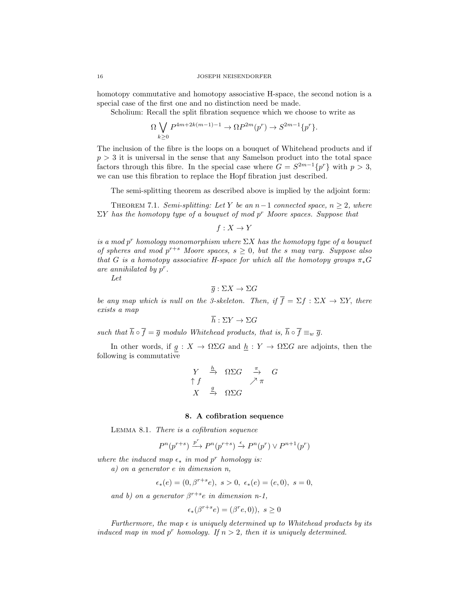homotopy commutative and homotopy associative H-space, the second notion is a special case of the first one and no distinction need be made.

Scholium: Recall the split fibration sequence which we choose to write as

$$
\Omega \bigvee_{k \ge 0} P^{4m+2k(m-1)-1} \to \Omega P^{2m}(p^r) \to S^{2m-1}\{p^r\}.
$$

The inclusion of the fibre is the loops on a bouquet of Whitehead products and if  $p > 3$  it is universal in the sense that any Samelson product into the total space factors through this fibre. In the special case where  $G = S^{2m-1}{p^r}$  with  $p > 3$ , we can use this fibration to replace the Hopf fibration just described.

The semi-splitting theorem as described above is implied by the adjoint form:

THEOREM 7.1. Semi-splitting: Let Y be an  $n-1$  connected space,  $n \geq 2$ , where  $\Sigma Y$  has the homotopy type of a bouquet of mod p<sup>r</sup> Moore spaces. Suppose that

 $f: X \to Y$ 

is a mod p<sup>r</sup> homology monomorphism where  $\Sigma X$  has the homotopy type of a bouquet of spheres and mod  $p^{r+s}$  Moore spaces,  $s \geq 0$ , but the s may vary. Suppose also that G is a homotopy associative H-space for which all the homotopy groups  $\pi_*G$ are annihilated by  $p^r$ .

Let

$$
\overline{g}:\Sigma X\to\Sigma G
$$

be any map which is null on the 3-skeleton. Then, if  $\overline{f} = \Sigma f : \Sigma X \to \Sigma Y$ , there exists a map

 $\overline{h} : \Sigma Y \to \Sigma G$ 

such that  $\overline{h} \circ \overline{f} = \overline{g}$  modulo Whitehead products, that is,  $\overline{h} \circ \overline{f} \equiv_w \overline{g}$ .

In other words, if  $g: X \to \Omega \Sigma G$  and  $h: Y \to \Omega \Sigma G$  are adjoints, then the following is commutative

$$
\begin{array}{rcl}\nY & \xrightarrow{h} & \Omega\Sigma G & \xrightarrow{\pi} & G \\
\uparrow f & & \nearrow \pi & \\
X & \xrightarrow{g} & \Omega\Sigma G\n\end{array}
$$

## 8. A cofibration sequence

Lemma 8.1. There is a cofibration sequence

$$
P^n(p^{r+s}) \xrightarrow{p^r} P^n(p^{r+s}) \xrightarrow{\epsilon} P^n(p^r) \vee P^{n+1}(p^r)
$$

where the induced map  $\epsilon_*$  in mod p<sup>r</sup> homology is:

a) on a generator e in dimension n,

$$
\epsilon_*(e) = (0, \beta^{r+s} e), \ s > 0, \ \epsilon_*(e) = (e, 0), \ s = 0,
$$

and b) on a generator  $\beta^{r+s}e$  in dimension n-1,

$$
\epsilon_*(\beta^{r+s}e) = (\beta^r e, 0), \ s \ge 0
$$

Furthermore, the map  $\epsilon$  is uniquely determined up to Whitehead products by its induced map in mod p<sup>r</sup> homology. If  $n > 2$ , then it is uniquely determined.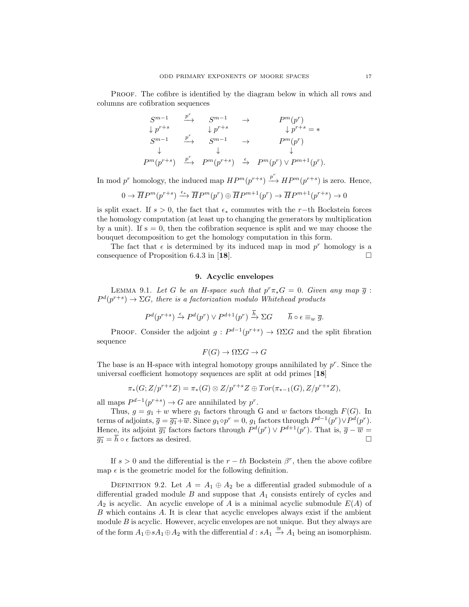Proof. The cofibre is identified by the diagram below in which all rows and columns are cofibration sequences

$$
S^{m-1} \xrightarrow{p^r} S^{m-1} \rightarrow P^m(p^r)
$$
  
\n
$$
\downarrow p^{r+s} \qquad \downarrow p^{r+s} \qquad \downarrow p^{r+s} = *
$$
  
\n
$$
S^{m-1} \xrightarrow{p^r} S^{m-1} \rightarrow P^m(p^r)
$$
  
\n
$$
\downarrow \qquad \downarrow \qquad \downarrow
$$
  
\n
$$
P^m(p^{r+s}) \xrightarrow{p^r} P^m(p^{r+s}) \xrightarrow{\epsilon} P^m(p^r) \vee P^{m+1}(p^r).
$$

In mod  $p^r$  homology, the induced map  $HP^m(p^{r+s}) \stackrel{p^r}{\longrightarrow} HP^m(p^{r+s})$  is zero. Hence,

$$
0 \to \overline{H}P^m(p^{r+s}) \xrightarrow{\epsilon_*} \overline{H}P^m(p^r) \oplus \overline{H}P^{m+1}(p^r) \to \overline{H}P^{m+1}(p^{r+s}) \to 0
$$

is split exact. If  $s > 0$ , the fact that  $\epsilon_*$  commutes with the r−th Bockstein forces the homology computation (at least up to changing the generators by multiplication by a unit). If  $s = 0$ , then the cofibration sequence is split and we may choose the bouquet decomposition to get the homology computation in this form.

The fact that  $\epsilon$  is determined by its induced map in mod  $p^r$  homology is a consequence of Proposition 6.4.3 in [18].  $\Box$ 

## 9. Acyclic envelopes

LEMMA 9.1. Let G be an H-space such that  $p^r \pi_* G = 0$ . Given any map  $\overline{g}$ :  $P^{d}(p^{r+s}) \rightarrow \Sigma G$ , there is a factorization modulo Whitehead products

$$
P^d(p^{r+s}) \xrightarrow{\epsilon} P^d(p^r) \vee P^{d+1}(p^r) \xrightarrow{\overline{h}} \Sigma G \qquad \overline{h} \circ \epsilon \equiv_w \overline{g}.
$$

PROOF. Consider the adjoint  $g: P^{d-1}(p^{r+s}) \to \Omega \Sigma G$  and the split fibration sequence

$$
F(G) \to \Omega \Sigma G \to G
$$

The base is an H-space with integral homotopy groups annihilated by  $p^r$ . Since the universal coefficient homotopy sequences are split at odd primes [18]

$$
\pi_*(G;Z/p^{r+s}Z)=\pi_*(G)\otimes Z/p^{r+s}Z\oplus Tor(\pi_{*-1}(G),Z/p^{r+s}Z),
$$

all maps  $P^{d-1}(p^{r+s}) \to G$  are annihilated by  $p^r$ .

Thus,  $g = g_1 + w$  where  $g_1$  factors through G and w factors though  $F(G)$ . In terms of adjoints,  $\overline{g} = \overline{g_1} + \overline{w}$ . Since  $g_1 \circ p^r = 0$ ,  $g_1$  factors through  $P^{d-1}(p^r) \vee P^d(p^r)$ . Hence, its adjoint  $\overline{g_1}$  factors factors through  $P^d(p^r) \vee P^{d+1}(p^r)$ . That is,  $\overline{g} - \overline{w} =$  $\overline{q_1} = \overline{h} \circ \epsilon$  factors as desired.

If  $s > 0$  and the differential is the  $r - th$  Bockstein  $\beta^r$ , then the above cofibre map  $\epsilon$  is the geometric model for the following definition.

DEFINITION 9.2. Let  $A = A_1 \oplus A_2$  be a differential graded submodule of a differential graded module  $B$  and suppose that  $A_1$  consists entirely of cycles and  $A_2$  is acyclic. An acyclic envelope of A is a minimal acyclic submodule  $E(A)$  of B which contains A. It is clear that acyclic envelopes always exist if the ambient module B is acyclic. However, acyclic envelopes are not unique. But they always are of the form  $A_1 \oplus sA_1 \oplus A_2$  with the differential  $d : sA_1 \stackrel{\cong}{\rightarrow} A_1$  being an isomorphism.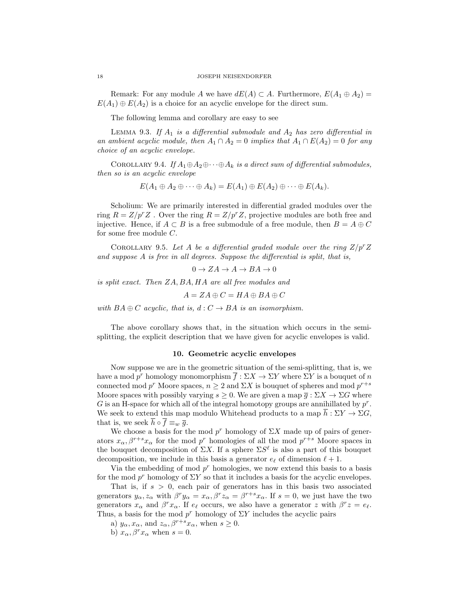Remark: For any module A we have  $dE(A) \subset A$ . Furthermore,  $E(A_1 \oplus A_2) =$  $E(A_1) \oplus E(A_2)$  is a choice for an acyclic envelope for the direct sum.

The following lemma and corollary are easy to see

LEMMA 9.3. If  $A_1$  is a differential submodule and  $A_2$  has zero differential in an ambient acyclic module, then  $A_1 \cap A_2 = 0$  implies that  $A_1 \cap E(A_2) = 0$  for any choice of an acyclic envelope.

COROLLARY 9.4. If  $A_1 \oplus A_2 \oplus \cdots \oplus A_k$  is a direct sum of differential submodules, then so is an acyclic envelope

$$
E(A_1 \oplus A_2 \oplus \cdots \oplus A_k) = E(A_1) \oplus E(A_2) \oplus \cdots \oplus E(A_k).
$$

Scholium: We are primarily interested in differential graded modules over the ring  $R = Z/p^rZ$ . Over the ring  $R = Z/p^rZ$ , projective modules are both free and injective. Hence, if  $A \subset B$  is a free submodule of a free module, then  $B = A \oplus C$ for some free module C.

COROLLARY 9.5. Let A be a differential graded module over the ring  $Z/p^rZ$ and suppose A is free in all degrees. Suppose the differential is split, that is,

 $0 \to ZA \to A \to BA \to 0$ 

is split exact. Then ZA, BA, HA are all free modules and

 $A = ZA \oplus C = HA \oplus BA \oplus C$ 

with  $BA \oplus C$  acyclic, that is,  $d : C \rightarrow BA$  is an isomorphism.

The above corollary shows that, in the situation which occurs in the semisplitting, the explicit description that we have given for acyclic envelopes is valid.

## 10. Geometric acyclic envelopes

Now suppose we are in the geometric situation of the semi-splitting, that is, we have a mod  $p^r$  homology monomorphism  $\overline{f} : \Sigma X \to \Sigma Y$  where  $\Sigma Y$  is a bouquet of n connected mod  $p^r$  Moore spaces,  $n \geq 2$  and  $\Sigma X$  is bouquet of spheres and mod  $p^{r+s}$ Moore spaces with possibly varying  $s \geq 0$ . We are given a map  $\overline{g}: \Sigma X \to \Sigma G$  where G is an H-space for which all of the integral homotopy groups are annihilated by  $p^r$ . We seek to extend this map modulo Whitehead products to a map  $\bar{h}: \Sigma Y \to \Sigma G$ , that is, we seek  $\overline{h} \circ \overline{f} \equiv_w \overline{g}$ .

We choose a basis for the mod  $p^r$  homology of  $\Sigma X$  made up of pairs of generators  $x_{\alpha}, \beta^{r+s} x_{\alpha}$  for the mod  $p^r$  homologies of all the mod  $p^{r+s}$  Moore spaces in the bouquet decomposition of  $\Sigma X$ . If a sphere  $\Sigma S^{\ell}$  is also a part of this bouquet decomposition, we include in this basis a generator  $e_{\ell}$  of dimension  $\ell + 1$ .

Via the embedding of mod  $p<sup>r</sup>$  homologies, we now extend this basis to a basis for the mod  $p^r$  homology of  $\Sigma Y$  so that it includes a basis for the acyclic envelopes.

That is, if  $s > 0$ , each pair of generators has in this basis two associated generators  $y_{\alpha}, z_{\alpha}$  with  $\beta^{r} y_{\alpha} = x_{\alpha}, \beta^{r} z_{\alpha} = \beta^{r+s} x_{\alpha}$ . If  $s = 0$ , we just have the two generators  $x_\alpha$  and  $\beta^r x_\alpha$ . If  $e_\ell$  occurs, we also have a generator z with  $\beta^r z = e_\ell$ . Thus, a basis for the mod  $p^r$  homology of  $\Sigma Y$  includes the acyclic pairs

a)  $y_{\alpha}, x_{\alpha}$ , and  $z_{\alpha}, \beta^{r+s}x_{\alpha}$ , when  $s \geq 0$ .

b)  $x_{\alpha}, \beta^{r}x_{\alpha}$  when  $s = 0$ .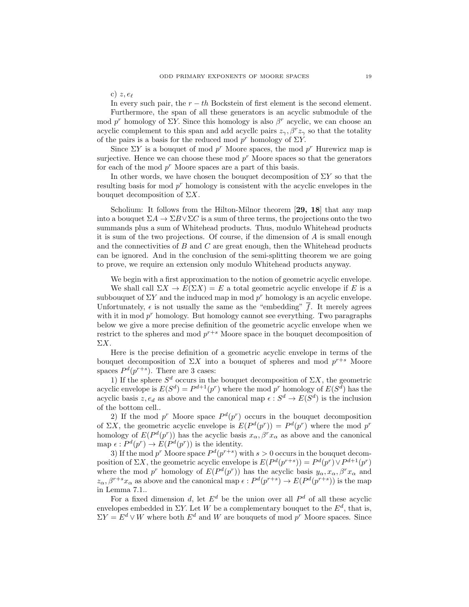c)  $z, e_{\ell}$ 

In every such pair, the  $r - th$  Bockstein of first element is the second element.

Furthermore, the span of all these generators is an acyclic submodule of the mod  $p^r$  homology of  $\Sigma Y$ . Since this homology is also  $\beta^r$  acyclic, we can choose an acyclic complement to this span and add acyclic pairs  $z_{\gamma}$ ,  $\beta^{r} z_{\gamma}$  so that the totality of the pairs is a basis for the reduced mod  $p^r$  homology of  $\Sigma Y$ .

Since  $\Sigma Y$  is a bouquet of mod  $p^r$  Moore spaces, the mod  $p^r$  Hurewicz map is surjective. Hence we can choose these mod  $p<sup>r</sup>$  Moore spaces so that the generators for each of the mod  $p^r$  Moore spaces are a part of this basis.

In other words, we have chosen the bouquet decomposition of  $\Sigma Y$  so that the resulting basis for mod  $p<sup>r</sup>$  homology is consistent with the acyclic envelopes in the bouquet decomposition of  $\Sigma X$ .

Scholium: It follows from the Hilton-Milnor theorem [29, 18] that any map into a bouquet  $\Sigma A \to \Sigma B \vee \Sigma C$  is a sum of three terms, the projections onto the two summands plus a sum of Whitehead products. Thus, modulo Whitehead products it is sum of the two projections. Of course, if the dimension of A is small enough and the connectivities of  $B$  and  $C$  are great enough, then the Whitehead products can be ignored. And in the conclusion of the semi-splitting theorem we are going to prove, we require an extension only modulo Whitehead products anyway.

We begin with a first approximation to the notion of geometric acyclic envelope.

We shall call  $\Sigma X \to E(\Sigma X) = E$  a total geometric acyclic envelope if E is a subbouquet of  $\Sigma Y$  and the induced map in mod  $p^r$  homology is an acyclic envelope. Unfortunately,  $\epsilon$  is not usually the same as the "embedding"  $\overline{f}$ . It merely agrees with it in mod  $p<sup>r</sup>$  homology. But homology cannot see everything. Two paragraphs below we give a more precise definition of the geometric acyclic envelope when we restrict to the spheres and mod  $p^{r+s}$  Moore space in the bouquet decomposition of  $ΣX$ .

Here is the precise definition of a geometric acyclic envelope in terms of the bouquet decomposition of  $\Sigma X$  into a bouquet of spheres and mod  $p^{r+s}$  Moore spaces  $P^d(p^{r+s})$ . There are 3 cases:

1) If the sphere  $S^d$  occurs in the bouquet decomposition of  $\Sigma X$ , the geometric acyclic envelope is  $E(S^d) = P^{d+1}(p^r)$  where the mod  $p^r$  homology of  $E(S^d)$  has the acyclic basis  $z, e_d$  as above and the canonical map  $\epsilon : S^d \to E(S^d)$  is the inclusion of the bottom cell..

2) If the mod  $p^r$  Moore space  $P^d(p^r)$  occurs in the bouquet decomposition of  $\Sigma X$ , the geometric acyclic envelope is  $E(P^d(p^r)) = P^d(p^r)$  where the mod  $p^r$ homology of  $E(P^d(p^r))$  has the acyclic basis  $x_\alpha, \beta^r x_\alpha$  as above and the canonical map  $\epsilon: P^d(p^r) \to E(P^d(p^r))$  is the identity.

3) If the mod  $p^r$  Moore space  $P^d(p^{r+s})$  with  $s > 0$  occurs in the bouquet decomposition of  $\Sigma X$ , the geometric acyclic envelope is  $E(P^d(p^{r+s})) = P^d(p^r) \vee P^{d+1}(p^r)$ where the mod  $p^r$  homology of  $E(P^d(p^r))$  has the acyclic basis  $y_\alpha, x_\alpha, \beta^r x_\alpha$  and  $z_{\alpha}, \beta^{r+s}x_{\alpha}$  as above and the canonical map  $\epsilon : P^d(p^{r+s}) \to E(P^d(p^{r+s}))$  is the map in Lemma 7.1..

For a fixed dimension d, let  $E^d$  be the union over all  $P^d$  of all these acyclic envelopes embedded in  $\Sigma Y$ . Let W be a complementary bouquet to the  $E^d$ , that is,  $\Sigma Y = E^d \vee W$  where both  $E^d$  and W are bouquets of mod  $p^r$  Moore spaces. Since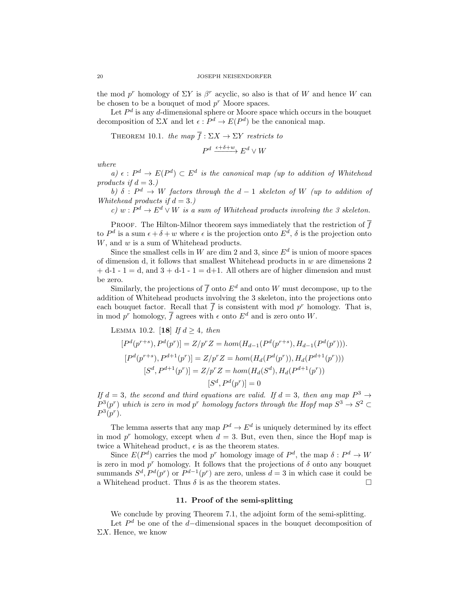the mod  $p^r$  homology of  $\Sigma Y$  is  $\beta^r$  acyclic, so also is that of W and hence W can be chosen to be a bouquet of mod  $p^r$  Moore spaces.

Let  $P<sup>d</sup>$  is any d-dimensional sphere or Moore space which occurs in the bouquet decomposition of  $\Sigma X$  and let  $\epsilon : P^d \to E(P^d)$  be the canonical map.

THEOREM 10.1. the map  $\overline{f} : \Sigma X \to \Sigma Y$  restricts to

 $P^d \xrightarrow{\epsilon + \delta + w} E^d \vee W$ 

where

a)  $\epsilon: P^d \to E(P^d) \subset E^d$  is the canonical map (up to addition of Whitehead products if  $d = 3$ .)

b)  $\delta$ :  $P^d \to W$  factors through the  $d-1$  skeleton of W (up to addition of Whitehead products if  $d = 3$ .)

c)  $w: P^d \to E^d \vee W$  is a sum of Whitehead products involving the 3 skeleton.

PROOF. The Hilton-Milnor theorem says immediately that the restriction of  $\bar{f}$ to  $P^d$  is a sum  $\epsilon + \delta + w$  where  $\epsilon$  is the projection onto  $E^d$ ,  $\delta$  is the projection onto W, and w is a sum of Whitehead products.

Since the smallest cells in W are dim 2 and 3, since  $E<sup>d</sup>$  is union of moore spaces of dimension d, it follows that smallest Whitehead products in  $w$  are dimensions 2  $+ d-1 - 1 = d$ , and  $3 + d-1 - 1 = d+1$ . All others are of higher dimension and must be zero.

Similarly, the projections of  $\bar{f}$  onto  $E^d$  and onto W must decompose, up to the addition of Whitehead products involving the 3 skeleton, into the projections onto each bouquet factor. Recall that  $\bar{f}$  is consistent with mod  $p^r$  homology. That is, in mod  $p^r$  homology,  $\overline{f}$  agrees with  $\epsilon$  onto  $E^d$  and is zero onto W.

LEMMA 10.2. [18] If  $d \geq 4$ , then

$$
[P^d(p^{r+s}), P^d(p^r)] = Z/p^r Z = hom(H_{d-1}(P^d(p^{r+s}), H_{d-1}(P^d(p^r))).
$$
  
\n
$$
[P^d(p^{r+s}), P^{d+1}(p^r)] = Z/p^r Z = hom(H_d(P^d(p^r)), H_d(P^{d+1}(p^r)))
$$
  
\n
$$
[S^d, P^{d+1}(p^r)] = Z/p^r Z = hom(H_d(S^d), H_d(P^{d+1}(p^r)))
$$
  
\n
$$
[S^d, P^d(p^r)] = 0
$$

If  $d = 3$ , the second and third equations are valid. If  $d = 3$ , then any map  $P^3 \rightarrow$  $P^3(p^r)$  which is zero in mod p<sup>r</sup> homology factors through the Hopf map  $S^3 \to S^2 \subset$  $P^3(p^r)$ .

The lemma asserts that any map  $P^d \to E^d$  is uniquely determined by its effect in mod  $p^r$  homology, except when  $d = 3$ . But, even then, since the Hopf map is twice a Whitehead product,  $\epsilon$  is as the theorem states.

Since  $E(P^d)$  carries the mod  $p^r$  homology image of  $P^d$ , the map  $\delta: P^d \to W$ is zero in mod  $p^r$  homology. It follows that the projections of  $\delta$  onto any bouquet summands  $S^d$ ,  $P^d(p^r)$  or  $P^{d-1}(p^r)$  are zero, unless  $d=3$  in which case it could be a Whitehead product. Thus  $\delta$  is as the theorem states.

## 11. Proof of the semi-splitting

We conclude by proving Theorem 7.1, the adjoint form of the semi-splitting.

Let  $P<sup>d</sup>$  be one of the d–dimensional spaces in the bouquet decomposition of  $\Sigma X$ . Hence, we know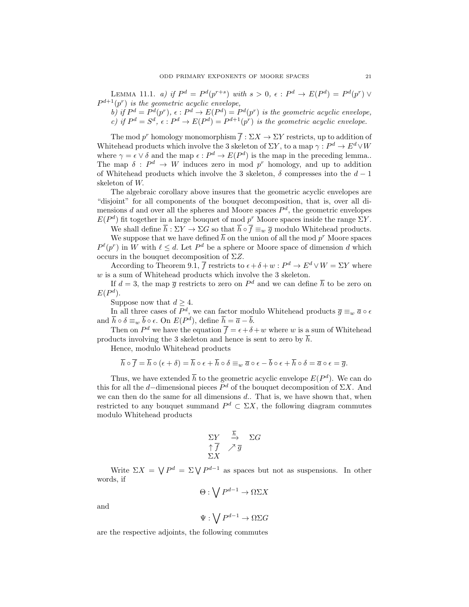LEMMA 11.1. a) if  $P^d = P^d(p^{r+s})$  with  $s > 0$ ,  $\epsilon : P^d \to E(P^d) = P^d(p^r) \vee$  $P^{d+1}(p^r)$  is the geometric acyclic envelope,

b) if  $P^d = P^d(p^r)$ ,  $\epsilon : P^d \to E(P^d) = P^d(p^r)$  is the geometric acyclic envelope, c) if  $P^d = S^d$ ,  $\epsilon : P^d \to E(P^d) = P^{d+1}(p^r)$  is the geometric acyclic envelope.

The mod  $p^r$  homology monomorphism  $\overline{f} : \Sigma X \to \Sigma Y$  restricts, up to addition of Whitehead products which involve the 3 skeleton of  $\Sigma Y$ , to a map  $\gamma: P^d \to E^d \vee W$ where  $\gamma = \epsilon \vee \delta$  and the map  $\epsilon : P^d \to E(P^d)$  is the map in the preceding lemma.. The map  $\delta: P^d \to W$  induces zero in mod p<sup>r</sup> homology, and up to addition of Whitehead products which involve the 3 skeleton,  $\delta$  compresses into the  $d-1$ skeleton of W.

The algebraic corollary above insures that the geometric acyclic envelopes are "disjoint" for all components of the bouquet decomposition, that is, over all dimensions d and over all the spheres and Moore spaces  $P<sup>d</sup>$ , the geometric envelopes  $E(P^d)$  fit together in a large bouquet of mod  $p^r$  Moore spaces inside the range  $\Sigma Y$ .

We shall define  $\overline{h} : \Sigma Y \to \Sigma G$  so that  $\overline{h} \circ \overline{f} \equiv_w \overline{g}$  modulo Whitehead products.

We suppose that we have defined  $\bar{h}$  on the union of all the mod  $p^r$  Moore spaces  $P^{\ell}(p^r)$  in W with  $\ell \leq d$ . Let  $P^d$  be a sphere or Moore space of dimension d which occurs in the bouquet decomposition of  $\Sigma Z$ .

According to Theorem 9.1,  $\overline{f}$  restricts to  $\epsilon + \delta + w : P^d \to E^d \vee W = \Sigma Y$  where  $w$  is a sum of Whitehead products which involve the 3 skeleton.

If  $d=3$ , the map  $\bar{g}$  restricts to zero on  $P^d$  and we can define  $\bar{h}$  to be zero on  $E(P^d)$ .

Suppose now that  $d > 4$ .

In all three cases of  $P^d$ , we can factor modulo Whitehead products  $\overline{g} \equiv_w \overline{a} \circ \epsilon$ and  $\bar{h} \circ \delta \equiv_w \bar{b} \circ \epsilon$ . On  $E(P^d)$ , define  $\bar{h} = \bar{a} - \bar{b}$ .

Then on  $P^d$  we have the equation  $\overline{f} = \epsilon + \delta + w$  where w is a sum of Whitehead products involving the 3 skeleton and hence is sent to zero by h.

Hence, modulo Whitehead products

$$
\overline{h}\circ\overline{f}=\overline{h}\circ(\epsilon+\delta)=\overline{h}\circ\epsilon+\overline{h}\circ\delta\equiv_w\overline{a}\circ\epsilon-\overline{b}\circ\epsilon+\overline{h}\circ\delta=\overline{a}\circ\epsilon=\overline{g}.
$$

Thus, we have extended  $\bar{h}$  to the geometric acyclic envelope  $E(P^d)$ . We can do this for all the d–dimensional pieces  $P<sup>d</sup>$  of the bouquet decomposition of  $\Sigma X$ . And we can then do the same for all dimensions  $d$ . That is, we have shown that, when restricted to any bouquet summand  $P^d \subset \Sigma X$ , the following diagram commutes modulo Whitehead products

$$
\begin{array}{ccc}\n\Sigma Y & \xrightarrow{\overline{h}} & \Sigma G \\
\uparrow \overline{f} & \nearrow \overline{g} \\
\Sigma X\n\end{array}
$$

Write  $\Sigma X = \bigvee P^d = \Sigma \bigvee P^{d-1}$  as spaces but not as suspensions. In other words, if

$$
\Theta: \bigvee P^{d-1} \to \Omega \Sigma X
$$

and

$$
\Psi : \bigvee P^{d-1} \to \Omega\Sigma G
$$

are the respective adjoints, the following commutes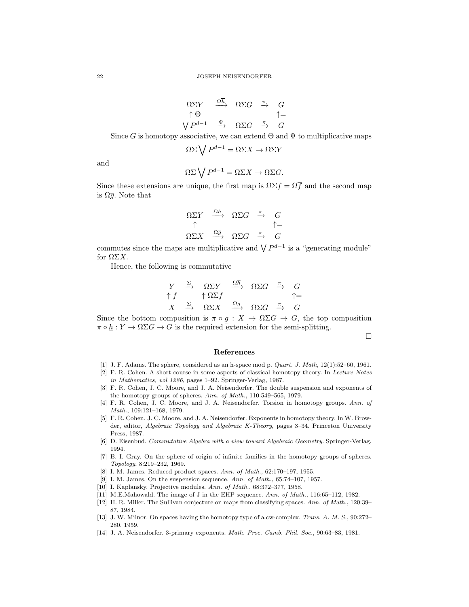$$
\begin{array}{ccc}\n\Omega \Sigma Y & \xrightarrow{\Omega \overline{h}} & \Omega \Sigma G & \xrightarrow{\pi} & G \\
\uparrow \Theta & & \uparrow = \\
\bigvee P^{d-1} & \xrightarrow{\Psi} & \Omega \Sigma G & \xrightarrow{\pi} & G\n\end{array}
$$

Since G is homotopy associative, we can extend  $\Theta$  and  $\Psi$  to multiplicative maps

$$
\Omega\Sigma \bigvee P^{d-1} = \Omega\Sigma X \to \Omega\Sigma Y
$$

and

$$
\Omega\Sigma \bigvee P^{d-1} = \Omega\Sigma X \to \Omega\Sigma G.
$$

Since these extensions are unique, the first map is  $\Omega \Sigma f = \Omega \overline{f}$  and the second map is  $\Omega \overline{q}$ . Note that

$$
\begin{array}{ccc}\n\Omega \Sigma Y & \xrightarrow{\Omega h} & \Omega \Sigma G & \xrightarrow{\pi} & G \\
\uparrow & & \uparrow = \\
\Omega \Sigma X & \xrightarrow{\Omega \overline{g}} & \Omega \Sigma G & \xrightarrow{\pi} & G\n\end{array}
$$

commutes since the maps are multiplicative and  $\bigvee P^{d-1}$  is a "generating module" for  $\Omega \Sigma X$ .

Hence, the following is commutative

$$
\begin{array}{ccccc}\nY & \xrightarrow{\Sigma} & \Omega \Sigma Y & \xrightarrow{\Omega \overline{h}} & \Omega \Sigma G & \xrightarrow{\pi} & G \\
\uparrow f & & \uparrow \Omega \Sigma f & & \uparrow = & \\
X & \xrightarrow{\Sigma} & \Omega \Sigma X & \xrightarrow{\Omega \overline{g}} & \Omega \Sigma G & \xrightarrow{\pi} & G\n\end{array}
$$

Since the bottom composition is  $\pi \circ g : X \to \Omega \Sigma G \to G$ , the top composition  $\pi \circ \underline{h} : Y \to \Omega \Sigma G \to G$  is the required extension for the semi-splitting.

 $\Box$ 

### References

- [1] J. F. Adams. The sphere, considered as an h-space mod p. Quart. J. Math, 12(1):52–60, 1961.
- [2] F. R. Cohen. A short course in some aspects of classical homotopy theory. In Lecture Notes in Mathematics, vol 1286, pages 1–92. Springer-Verlag, 1987.
- [3] F. R. Cohen, J. C. Moore, and J. A. Neisendorfer. The double suspension and exponents of the homotopy groups of spheres. Ann. of Math., 110:549–565, 1979.
- [4] F. R. Cohen, J. C. Moore, and J. A. Neisendorfer. Torsion in homotopy groups. Ann. of Math., 109:121–168, 1979.
- [5] F. R. Cohen, J. C. Moore, and J. A. Neisendorfer. Exponents in homotopy theory. In W. Browder, editor, Algebraic Topology and Algebraic K-Theory, pages 3–34. Princeton University Press, 1987.
- [6] D. Eisenbud. Commutative Algebra with a view toward Algebraic Geometry. Springer-Verlag, 1994.
- [7] B. I. Gray. On the sphere of origin of infinite families in the homotopy groups of spheres. Topology, 8:219–232, 1969.
- [8] I. M. James. Reduced product spaces. Ann. of Math., 62:170–197, 1955.
- [9] I. M. James. On the suspension sequence. Ann. of Math., 65:74–107, 1957.
- [10] I. Kaplansky. Projective modules. Ann. of Math., 68:372–377, 1958.
- [11] M.E.Mahowald. The image of J in the EHP sequence. Ann. of Math., 116:65-112, 1982.
- [12] H. R. Miller. The Sullivan conjecture on maps from classifying spaces. Ann. of Math., 120:39– 87, 1984.
- [13] J. W. Milnor. On spaces having the homotopy type of a cw-complex. Trans. A. M. S., 90:272– 280, 1959.
- [14] J. A. Neisendorfer. 3-primary exponents. Math. Proc. Camb. Phil. Soc., 90:63–83, 1981.